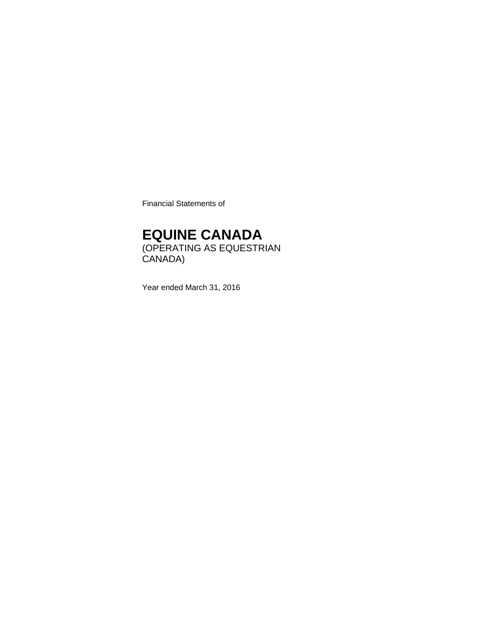Financial Statements of

### **EQUINE CANADA**

(OPERATING AS EQUESTRIAN CANADA)

Year ended March 31, 2016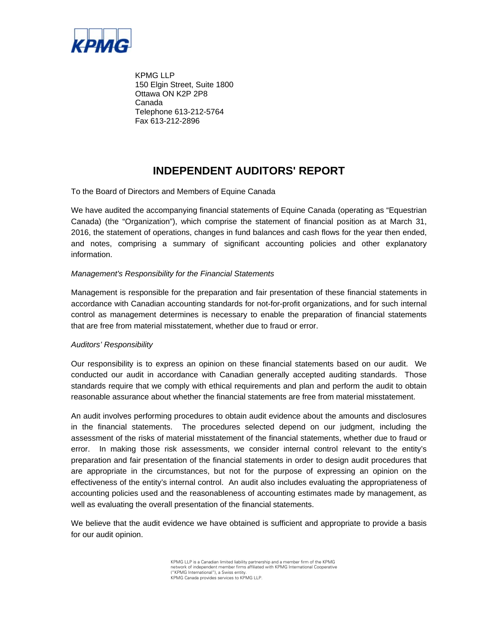

KPMG LLP 150 Elgin Street, Suite 1800 Ottawa ON K2P 2P8 Canada Telephone 613-212-5764 Fax 613-212-2896

### **INDEPENDENT AUDITORS' REPORT**

To the Board of Directors and Members of Equine Canada

We have audited the accompanying financial statements of Equine Canada (operating as "Equestrian Canada) (the "Organization"), which comprise the statement of financial position as at March 31, 2016, the statement of operations, changes in fund balances and cash flows for the year then ended, and notes, comprising a summary of significant accounting policies and other explanatory information.

### *Management's Responsibility for the Financial Statements*

Management is responsible for the preparation and fair presentation of these financial statements in accordance with Canadian accounting standards for not-for-profit organizations, and for such internal control as management determines is necessary to enable the preparation of financial statements that are free from material misstatement, whether due to fraud or error.

#### *Auditors' Responsibility*

Our responsibility is to express an opinion on these financial statements based on our audit. We conducted our audit in accordance with Canadian generally accepted auditing standards. Those standards require that we comply with ethical requirements and plan and perform the audit to obtain reasonable assurance about whether the financial statements are free from material misstatement.

An audit involves performing procedures to obtain audit evidence about the amounts and disclosures in the financial statements. The procedures selected depend on our judgment, including the assessment of the risks of material misstatement of the financial statements, whether due to fraud or error. In making those risk assessments, we consider internal control relevant to the entity's preparation and fair presentation of the financial statements in order to design audit procedures that are appropriate in the circumstances, but not for the purpose of expressing an opinion on the effectiveness of the entity's internal control. An audit also includes evaluating the appropriateness of accounting policies used and the reasonableness of accounting estimates made by management, as well as evaluating the overall presentation of the financial statements.

We believe that the audit evidence we have obtained is sufficient and appropriate to provide a basis for our audit opinion.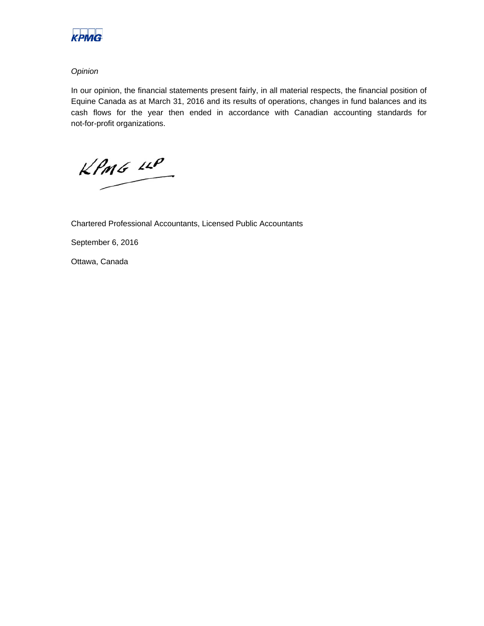

### *Opinion*

In our opinion, the financial statements present fairly, in all material respects, the financial position of Equine Canada as at March 31, 2016 and its results of operations, changes in fund balances and its cash flows for the year then ended in accordance with Canadian accounting standards for not-for-profit organizations.

 $KPMG$  14P

Chartered Professional Accountants, Licensed Public Accountants

September 6, 2016

Ottawa, Canada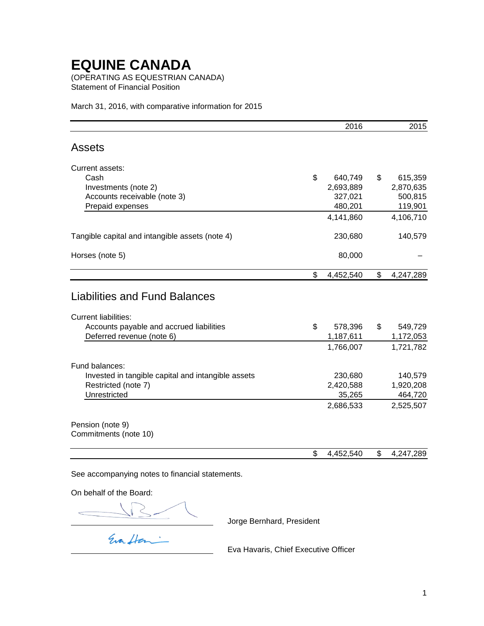(OPERATING AS EQUESTRIAN CANADA) Statement of Financial Position

March 31, 2016, with comparative information for 2015

|                                                    | 2016            | 2015            |
|----------------------------------------------------|-----------------|-----------------|
| <b>Assets</b>                                      |                 |                 |
| Current assets:                                    |                 |                 |
| Cash                                               | \$<br>640,749   | \$<br>615,359   |
| Investments (note 2)                               | 2,693,889       | 2,870,635       |
| Accounts receivable (note 3)                       | 327,021         | 500,815         |
| Prepaid expenses                                   | 480,201         | 119,901         |
|                                                    | 4,141,860       | 4,106,710       |
| Tangible capital and intangible assets (note 4)    | 230,680         | 140,579         |
| Horses (note 5)                                    | 80,000          |                 |
|                                                    | \$<br>4,452,540 | \$<br>4,247,289 |
| <b>Liabilities and Fund Balances</b>               |                 |                 |
| <b>Current liabilities:</b>                        |                 |                 |
| Accounts payable and accrued liabilities           | \$<br>578,396   | \$<br>549,729   |
| Deferred revenue (note 6)                          | 1,187,611       | 1,172,053       |
|                                                    | 1,766,007       | 1,721,782       |
| Fund balances:                                     |                 |                 |
| Invested in tangible capital and intangible assets | 230,680         | 140,579         |
| Restricted (note 7)                                | 2,420,588       | 1,920,208       |
| Unrestricted                                       | 35,265          | 464,720         |
|                                                    | 2,686,533       | 2,525,507       |
| Pension (note 9)                                   |                 |                 |
| Commitments (note 10)                              |                 |                 |
|                                                    | \$<br>4,452,540 | \$<br>4,247,289 |

See accompanying notes to financial statements.

On behalf of the Board:

 $\sqrt{R}$ 

Jorge Bernhard, President

Evalton

Eva Havaris, Chief Executive Officer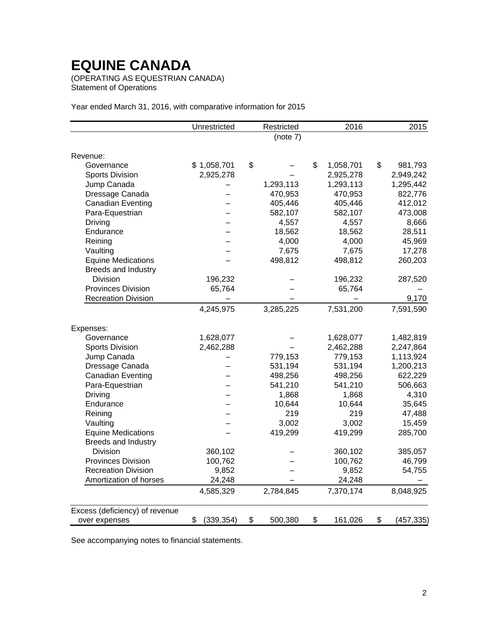(OPERATING AS EQUESTRIAN CANADA) Statement of Operations

Year ended March 31, 2016, with comparative information for 2015

|                                | Unrestricted     | Restricted    | 2016            | 2015             |
|--------------------------------|------------------|---------------|-----------------|------------------|
|                                |                  | (note 7)      |                 |                  |
| Revenue:                       |                  |               |                 |                  |
| Governance                     | \$1,058,701      | \$            | \$<br>1,058,701 | \$<br>981,793    |
| <b>Sports Division</b>         | 2,925,278        |               | 2,925,278       | 2,949,242        |
| Jump Canada                    |                  | 1,293,113     | 1,293,113       | 1,295,442        |
| Dressage Canada                |                  | 470,953       | 470,953         | 822,776          |
| <b>Canadian Eventing</b>       |                  | 405,446       | 405,446         | 412,012          |
| Para-Equestrian                |                  | 582,107       | 582,107         | 473,008          |
| Driving                        |                  | 4,557         | 4,557           | 8,666            |
| Endurance                      |                  | 18,562        | 18,562          | 28,511           |
| Reining                        |                  | 4,000         | 4,000           | 45,969           |
| Vaulting                       |                  | 7,675         | 7,675           | 17,278           |
| <b>Equine Medications</b>      |                  | 498,812       | 498,812         | 260,203          |
| <b>Breeds and Industry</b>     |                  |               |                 |                  |
| <b>Division</b>                | 196,232          |               | 196,232         | 287,520          |
| <b>Provinces Division</b>      | 65,764           |               | 65,764          |                  |
| <b>Recreation Division</b>     |                  |               |                 | 9,170            |
|                                | 4,245,975        | 3,285,225     | 7,531,200       | 7,591,590        |
|                                |                  |               |                 |                  |
| Expenses:                      |                  |               |                 |                  |
| Governance                     | 1,628,077        |               | 1,628,077       | 1,482,819        |
| <b>Sports Division</b>         | 2,462,288        |               | 2,462,288       | 2,247,864        |
| Jump Canada                    |                  | 779,153       | 779,153         | 1,113,924        |
| Dressage Canada                |                  | 531,194       | 531,194         | 1,200,213        |
| <b>Canadian Eventing</b>       |                  | 498,256       | 498,256         | 622,229          |
| Para-Equestrian                |                  | 541,210       | 541,210         | 506,663          |
| <b>Driving</b>                 |                  | 1,868         | 1,868           | 4,310            |
| Endurance                      |                  | 10,644        | 10,644          | 35,645           |
| Reining                        |                  | 219           | 219             | 47,488           |
| Vaulting                       |                  | 3,002         | 3,002           | 15,459           |
| <b>Equine Medications</b>      |                  | 419,299       | 419,299         | 285,700          |
| <b>Breeds and Industry</b>     |                  |               |                 |                  |
| Division                       | 360,102          |               | 360,102         | 385,057          |
| <b>Provinces Division</b>      | 100,762          |               | 100,762         | 46,799           |
| <b>Recreation Division</b>     | 9,852            |               | 9,852           | 54,755           |
| Amortization of horses         | 24,248           |               | 24,248          |                  |
|                                | 4,585,329        | 2,784,845     | 7,370,174       | 8,048,925        |
| Excess (deficiency) of revenue |                  |               |                 |                  |
| over expenses                  | (339, 354)<br>\$ | \$<br>500,380 | \$<br>161,026   | \$<br>(457, 335) |

See accompanying notes to financial statements.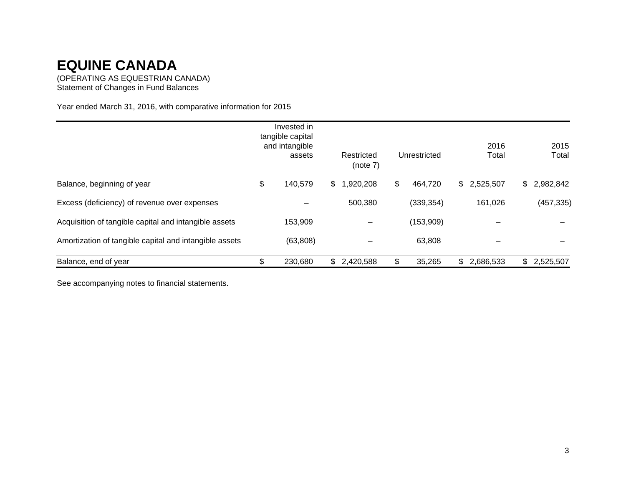(OPERATING AS EQUESTRIAN CANADA)

Statement of Changes in Fund Balances

Year ended March 31, 2016, with comparative information for 2015

|                                                        | Invested in<br>tangible capital |                 |     |              |             |             |
|--------------------------------------------------------|---------------------------------|-----------------|-----|--------------|-------------|-------------|
|                                                        | and intangible                  |                 |     |              | 2016        | 2015        |
|                                                        | assets                          | Restricted      |     | Unrestricted | Total       | Total       |
|                                                        |                                 | (note 7)        |     |              |             |             |
| Balance, beginning of year                             | \$<br>140,579                   | \$<br>1,920,208 | \$. | 464,720      | \$2,525,507 | \$2,982,842 |
| Excess (deficiency) of revenue over expenses           |                                 | 500,380         |     | (339, 354)   | 161,026     | (457, 335)  |
| Acquisition of tangible capital and intangible assets  | 153,909                         |                 |     | (153,909)    |             |             |
| Amortization of tangible capital and intangible assets | (63, 808)                       |                 |     | 63,808       |             |             |
| Balance, end of year                                   | \$<br>230,680                   | \$2,420,588     | S   | 35,265       | \$2,686,533 | \$2,525,507 |

See accompanying notes to financial statements.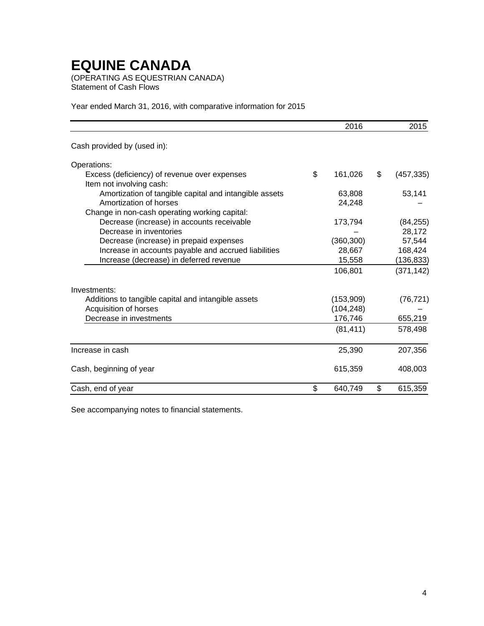(OPERATING AS EQUESTRIAN CANADA) Statement of Cash Flows

Year ended March 31, 2016, with comparative information for 2015

|                                                                          | 2016          | 2015             |
|--------------------------------------------------------------------------|---------------|------------------|
| Cash provided by (used in):                                              |               |                  |
| Operations:                                                              |               |                  |
| Excess (deficiency) of revenue over expenses<br>Item not involving cash: | \$<br>161,026 | \$<br>(457, 335) |
| Amortization of tangible capital and intangible assets                   | 63,808        | 53,141           |
| Amortization of horses                                                   | 24,248        |                  |
| Change in non-cash operating working capital:                            |               |                  |
| Decrease (increase) in accounts receivable                               | 173,794       | (84, 255)        |
| Decrease in inventories                                                  |               | 28,172           |
| Decrease (increase) in prepaid expenses                                  | (360, 300)    | 57,544           |
| Increase in accounts payable and accrued liabilities                     | 28,667        | 168,424          |
| Increase (decrease) in deferred revenue                                  | 15,558        | (136, 833)       |
|                                                                          | 106,801       | (371, 142)       |
| Investments:                                                             |               |                  |
| Additions to tangible capital and intangible assets                      | (153,909)     | (76, 721)        |
| Acquisition of horses                                                    | (104, 248)    |                  |
| Decrease in investments                                                  | 176,746       | 655,219          |
|                                                                          | (81, 411)     | 578,498          |
| Increase in cash                                                         | 25,390        | 207,356          |
| Cash, beginning of year                                                  | 615,359       | 408,003          |
| Cash, end of year                                                        | \$<br>640,749 | \$<br>615,359    |

See accompanying notes to financial statements.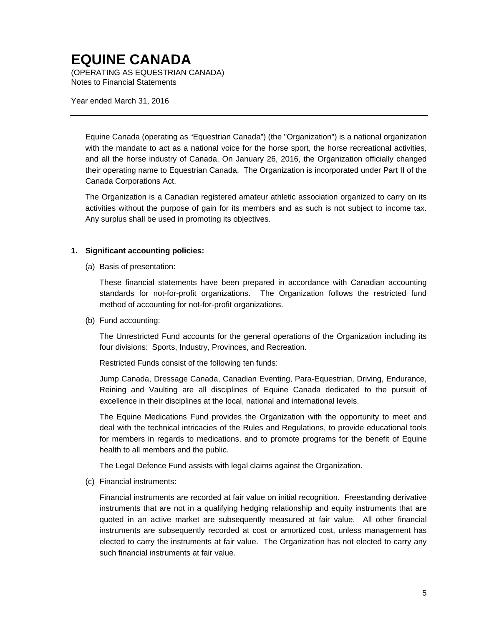(OPERATING AS EQUESTRIAN CANADA) Notes to Financial Statements

Year ended March 31, 2016

Equine Canada (operating as "Equestrian Canada") (the "Organization") is a national organization with the mandate to act as a national voice for the horse sport, the horse recreational activities, and all the horse industry of Canada. On January 26, 2016, the Organization officially changed their operating name to Equestrian Canada. The Organization is incorporated under Part II of the Canada Corporations Act.

The Organization is a Canadian registered amateur athletic association organized to carry on its activities without the purpose of gain for its members and as such is not subject to income tax. Any surplus shall be used in promoting its objectives.

### **1. Significant accounting policies:**

(a) Basis of presentation:

These financial statements have been prepared in accordance with Canadian accounting standards for not-for-profit organizations. The Organization follows the restricted fund method of accounting for not-for-profit organizations.

(b) Fund accounting:

The Unrestricted Fund accounts for the general operations of the Organization including its four divisions: Sports, Industry, Provinces, and Recreation.

Restricted Funds consist of the following ten funds:

Jump Canada, Dressage Canada, Canadian Eventing, Para-Equestrian, Driving, Endurance, Reining and Vaulting are all disciplines of Equine Canada dedicated to the pursuit of excellence in their disciplines at the local, national and international levels.

The Equine Medications Fund provides the Organization with the opportunity to meet and deal with the technical intricacies of the Rules and Regulations, to provide educational tools for members in regards to medications, and to promote programs for the benefit of Equine health to all members and the public.

The Legal Defence Fund assists with legal claims against the Organization.

(c) Financial instruments:

Financial instruments are recorded at fair value on initial recognition. Freestanding derivative instruments that are not in a qualifying hedging relationship and equity instruments that are quoted in an active market are subsequently measured at fair value. All other financial instruments are subsequently recorded at cost or amortized cost, unless management has elected to carry the instruments at fair value. The Organization has not elected to carry any such financial instruments at fair value.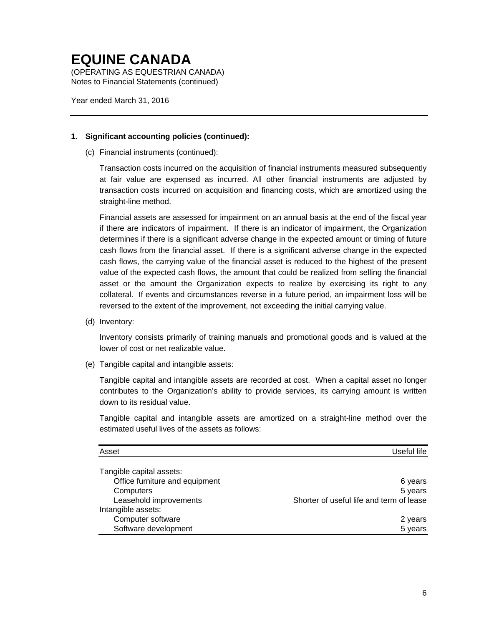(OPERATING AS EQUESTRIAN CANADA) Notes to Financial Statements (continued)

Year ended March 31, 2016

### **1. Significant accounting policies (continued):**

(c) Financial instruments (continued):

Transaction costs incurred on the acquisition of financial instruments measured subsequently at fair value are expensed as incurred. All other financial instruments are adjusted by transaction costs incurred on acquisition and financing costs, which are amortized using the straight-line method.

Financial assets are assessed for impairment on an annual basis at the end of the fiscal year if there are indicators of impairment. If there is an indicator of impairment, the Organization determines if there is a significant adverse change in the expected amount or timing of future cash flows from the financial asset. If there is a significant adverse change in the expected cash flows, the carrying value of the financial asset is reduced to the highest of the present value of the expected cash flows, the amount that could be realized from selling the financial asset or the amount the Organization expects to realize by exercising its right to any collateral. If events and circumstances reverse in a future period, an impairment loss will be reversed to the extent of the improvement, not exceeding the initial carrying value.

(d) Inventory:

Inventory consists primarily of training manuals and promotional goods and is valued at the lower of cost or net realizable value.

(e) Tangible capital and intangible assets:

Tangible capital and intangible assets are recorded at cost. When a capital asset no longer contributes to the Organization's ability to provide services, its carrying amount is written down to its residual value.

Tangible capital and intangible assets are amortized on a straight-line method over the estimated useful lives of the assets as follows:

| Asset                          | Useful life                              |
|--------------------------------|------------------------------------------|
|                                |                                          |
| Tangible capital assets:       |                                          |
| Office furniture and equipment | 6 years                                  |
| Computers                      | 5 years                                  |
| Leasehold improvements         | Shorter of useful life and term of lease |
| Intangible assets:             |                                          |
| Computer software              | 2 years                                  |
| Software development           | 5 years                                  |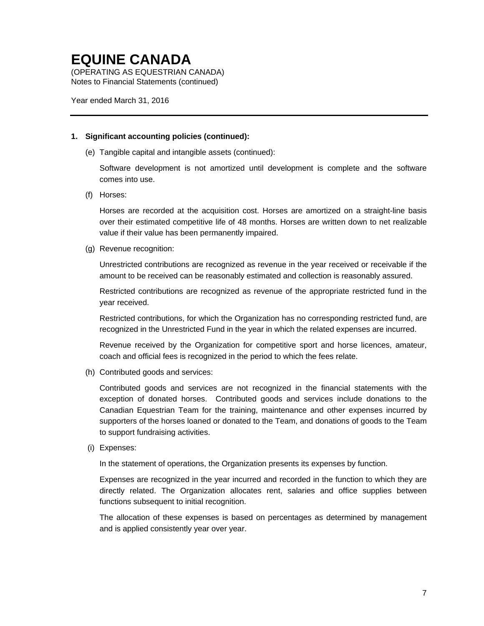(OPERATING AS EQUESTRIAN CANADA) Notes to Financial Statements (continued)

Year ended March 31, 2016

### **1. Significant accounting policies (continued):**

(e) Tangible capital and intangible assets (continued):

Software development is not amortized until development is complete and the software comes into use.

(f) Horses:

Horses are recorded at the acquisition cost. Horses are amortized on a straight-line basis over their estimated competitive life of 48 months. Horses are written down to net realizable value if their value has been permanently impaired.

(g) Revenue recognition:

Unrestricted contributions are recognized as revenue in the year received or receivable if the amount to be received can be reasonably estimated and collection is reasonably assured.

Restricted contributions are recognized as revenue of the appropriate restricted fund in the year received.

Restricted contributions, for which the Organization has no corresponding restricted fund, are recognized in the Unrestricted Fund in the year in which the related expenses are incurred.

Revenue received by the Organization for competitive sport and horse licences, amateur, coach and official fees is recognized in the period to which the fees relate.

(h) Contributed goods and services:

Contributed goods and services are not recognized in the financial statements with the exception of donated horses. Contributed goods and services include donations to the Canadian Equestrian Team for the training, maintenance and other expenses incurred by supporters of the horses loaned or donated to the Team, and donations of goods to the Team to support fundraising activities.

(i) Expenses:

In the statement of operations, the Organization presents its expenses by function.

Expenses are recognized in the year incurred and recorded in the function to which they are directly related. The Organization allocates rent, salaries and office supplies between functions subsequent to initial recognition.

The allocation of these expenses is based on percentages as determined by management and is applied consistently year over year.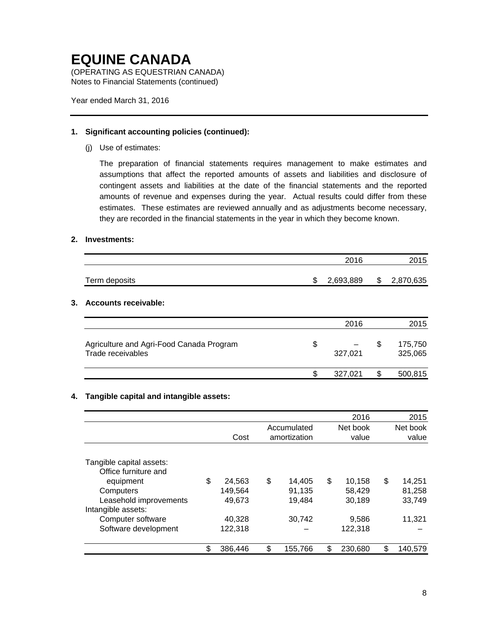(OPERATING AS EQUESTRIAN CANADA) Notes to Financial Statements (continued)

Year ended March 31, 2016

### **1. Significant accounting policies (continued):**

(j) Use of estimates:

The preparation of financial statements requires management to make estimates and assumptions that affect the reported amounts of assets and liabilities and disclosure of contingent assets and liabilities at the date of the financial statements and the reported amounts of revenue and expenses during the year. Actual results could differ from these estimates. These estimates are reviewed annually and as adjustments become necessary, they are recorded in the financial statements in the year in which they become known.

### **2. Investments:**

|                         | 2016            | 2015            |
|-------------------------|-----------------|-----------------|
| Term deposits           | \$<br>2,693,889 | \$<br>2,870,635 |
| 3. Accounts receivable: |                 |                 |
|                         | 2016            | 2015            |

| Agriculture and Agri-Food Canada Program<br>Trade receivables | S | 327.021 |   | 175.750<br>325.065 |
|---------------------------------------------------------------|---|---------|---|--------------------|
|                                                               |   | 327.021 | S | 500,815            |

### **4. Tangible capital and intangible assets:**

|                          |              |               | 2016         | 2015          |
|--------------------------|--------------|---------------|--------------|---------------|
|                          |              | Accumulated   | Net book     | Net book      |
|                          | Cost         | amortization  | value        | value         |
|                          |              |               |              |               |
| Tangible capital assets: |              |               |              |               |
| Office furniture and     |              |               |              |               |
| equipment                | \$<br>24,563 | \$<br>14.405  | \$<br>10,158 | \$<br>14,251  |
| Computers                | 149,564      | 91,135        | 58,429       | 81,258        |
| Leasehold improvements   | 49,673       | 19.484        | 30,189       | 33,749        |
| Intangible assets:       |              |               |              |               |
| Computer software        | 40,328       | 30,742        | 9,586        | 11,321        |
| Software development     | 122,318      |               | 122,318      |               |
|                          | 386,446      | \$<br>155,766 | 230,680      | \$<br>140.579 |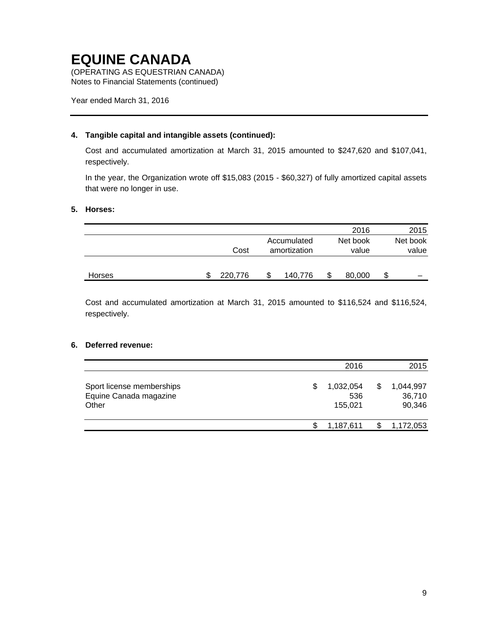(OPERATING AS EQUESTRIAN CANADA) Notes to Financial Statements (continued)

Year ended March 31, 2016

### **4. Tangible capital and intangible assets (continued):**

Cost and accumulated amortization at March 31, 2015 amounted to \$247,620 and \$107,041, respectively.

In the year, the Organization wrote off \$15,083 (2015 - \$60,327) of fully amortized capital assets that were no longer in use.

### **5. Horses:**

|               |         |   |                             |   | 2016              |   | 2015              |
|---------------|---------|---|-----------------------------|---|-------------------|---|-------------------|
|               | Cost    |   | Accumulated<br>amortization |   | Net book<br>value |   | Net book<br>value |
| <b>Horses</b> | 220,776 | S | 140,776                     | S | 80,000            | S |                   |

Cost and accumulated amortization at March 31, 2015 amounted to \$116,524 and \$116,524, respectively.

### **6. Deferred revenue:**

|                                                              |   | 2016                        | 2015                                |
|--------------------------------------------------------------|---|-----------------------------|-------------------------------------|
| Sport license memberships<br>Equine Canada magazine<br>Other | S | 1,032,054<br>536<br>155,021 | \$<br>1,044,997<br>36,710<br>90,346 |
|                                                              |   | 1,187,611                   | 1,172,053                           |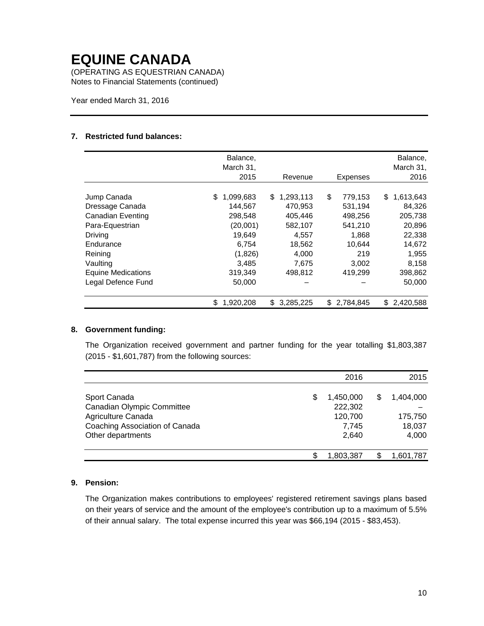(OPERATING AS EQUESTRIAN CANADA) Notes to Financial Statements (continued)

Year ended March 31, 2016

### **7. Restricted fund balances:**

|                           | Balance,<br>March 31,<br>2015 | Revenue          | <b>Expenses</b> | Balance,<br>March 31,<br>2016 |
|---------------------------|-------------------------------|------------------|-----------------|-------------------------------|
|                           |                               |                  |                 |                               |
| Jump Canada               | 1,099,683<br>\$               | 1,293,113<br>\$. | \$<br>779,153   | 1,613,643<br>\$               |
| Dressage Canada           | 144.567                       | 470.953          | 531,194         | 84,326                        |
| Canadian Eventing         | 298,548                       | 405,446          | 498,256         | 205,738                       |
| Para-Equestrian           | (20,001)                      | 582,107          | 541,210         | 20,896                        |
| Driving                   | 19.649                        | 4,557            | 1,868           | 22,338                        |
| Endurance                 | 6,754                         | 18,562           | 10,644          | 14,672                        |
| Reining                   | (1,826)                       | 4,000            | 219             | 1,955                         |
| Vaulting                  | 3.485                         | 7.675            | 3,002           | 8,158                         |
| <b>Equine Medications</b> | 319,349                       | 498,812          | 419,299         | 398,862                       |
| Legal Defence Fund        | 50,000                        |                  |                 | 50,000                        |
|                           | \$<br>1,920,208               | 3,285,225<br>SS. | 2,784,845<br>S. | \$2,420,588                   |

#### **8. Government funding:**

The Organization received government and partner funding for the year totalling \$1,803,387 (2015 - \$1,601,787) from the following sources:

|                                                                                                                         | 2016                                                    |   | 2015                                    |
|-------------------------------------------------------------------------------------------------------------------------|---------------------------------------------------------|---|-----------------------------------------|
| Sport Canada<br>Canadian Olympic Committee<br>Agriculture Canada<br>Coaching Association of Canada<br>Other departments | \$<br>1,450,000<br>222,302<br>120,700<br>7,745<br>2.640 | S | 1,404,000<br>175,750<br>18,037<br>4,000 |
|                                                                                                                         | \$<br>1,803,387                                         |   | 1,601,787                               |

### **9. Pension:**

The Organization makes contributions to employees' registered retirement savings plans based on their years of service and the amount of the employee's contribution up to a maximum of 5.5% of their annual salary. The total expense incurred this year was \$66,194 (2015 - \$83,453).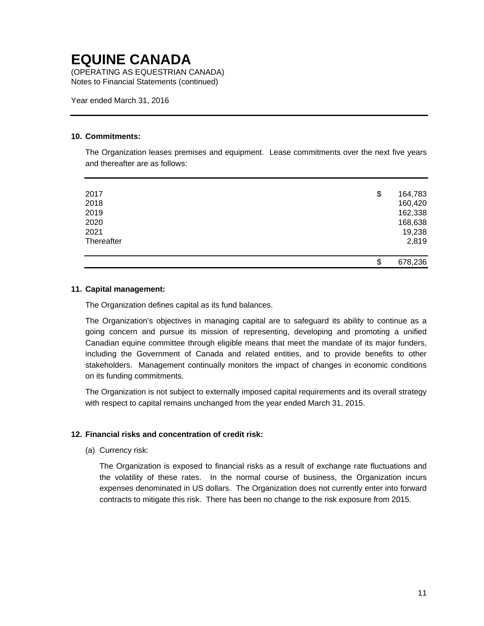(OPERATING AS EQUESTRIAN CANADA) Notes to Financial Statements (continued)

Year ended March 31, 2016

### **10. Commitments:**

The Organization leases premises and equipment. Lease commitments over the next five years and thereafter are as follows:

| 2017<br>2018<br>2019<br>2020<br>2021<br>Thereafter | \$<br>164,783<br>160,420<br>162,338<br>168,638<br>19,238<br>2,819 |
|----------------------------------------------------|-------------------------------------------------------------------|
|                                                    | \$<br>678,236                                                     |

### **11. Capital management:**

The Organization defines capital as its fund balances.

The Organization's objectives in managing capital are to safeguard its ability to continue as a going concern and pursue its mission of representing, developing and promoting a unified Canadian equine committee through eligible means that meet the mandate of its major funders, including the Government of Canada and related entities, and to provide benefits to other stakeholders. Management continually monitors the impact of changes in economic conditions on its funding commitments.

The Organization is not subject to externally imposed capital requirements and its overall strategy with respect to capital remains unchanged from the year ended March 31, 2015.

### **12. Financial risks and concentration of credit risk:**

(a) Currency risk:

The Organization is exposed to financial risks as a result of exchange rate fluctuations and the volatility of these rates. In the normal course of business, the Organization incurs expenses denominated in US dollars. The Organization does not currently enter into forward contracts to mitigate this risk. There has been no change to the risk exposure from 2015.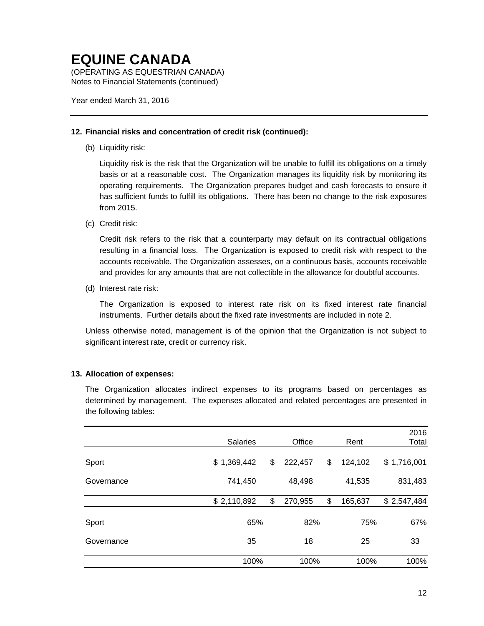(OPERATING AS EQUESTRIAN CANADA) Notes to Financial Statements (continued)

Year ended March 31, 2016

### **12. Financial risks and concentration of credit risk (continued):**

(b) Liquidity risk:

Liquidity risk is the risk that the Organization will be unable to fulfill its obligations on a timely basis or at a reasonable cost. The Organization manages its liquidity risk by monitoring its operating requirements. The Organization prepares budget and cash forecasts to ensure it has sufficient funds to fulfill its obligations. There has been no change to the risk exposures from 2015.

(c) Credit risk:

Credit risk refers to the risk that a counterparty may default on its contractual obligations resulting in a financial loss. The Organization is exposed to credit risk with respect to the accounts receivable. The Organization assesses, on a continuous basis, accounts receivable and provides for any amounts that are not collectible in the allowance for doubtful accounts.

(d) Interest rate risk:

The Organization is exposed to interest rate risk on its fixed interest rate financial instruments. Further details about the fixed rate investments are included in note 2.

Unless otherwise noted, management is of the opinion that the Organization is not subject to significant interest rate, credit or currency risk.

### **13. Allocation of expenses:**

The Organization allocates indirect expenses to its programs based on percentages as determined by management. The expenses allocated and related percentages are presented in the following tables:

|            |                 |               |               | 2016        |
|------------|-----------------|---------------|---------------|-------------|
|            | <b>Salaries</b> | Office        | Rent          | Total       |
| Sport      | \$1,369,442     | \$<br>222,457 | \$<br>124,102 | \$1,716,001 |
| Governance | 741,450         | 48,498        | 41,535        | 831,483     |
|            | \$2,110,892     | \$<br>270,955 | \$<br>165,637 | \$2,547,484 |
| Sport      | 65%             | 82%           | 75%           | 67%         |
| Governance | 35              | 18            | 25            | 33          |
|            | 100%            | 100%          | 100%          | 100%        |